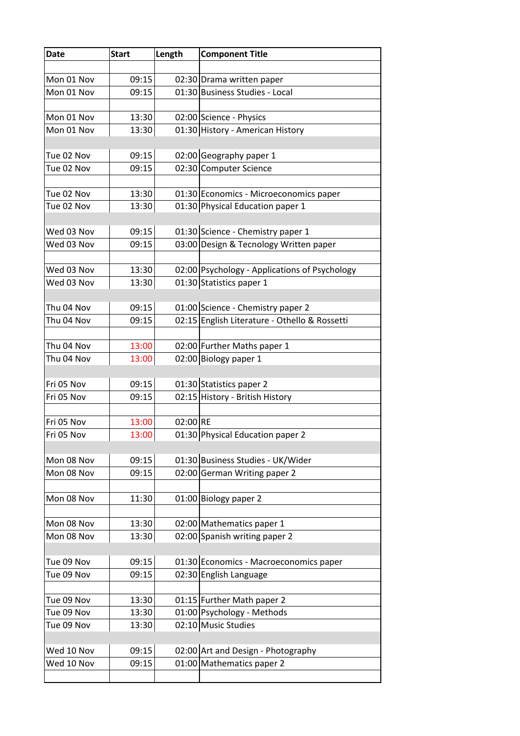| Date       | <b>Start</b> | Length   | <b>Component Title</b>                                                    |
|------------|--------------|----------|---------------------------------------------------------------------------|
|            |              |          |                                                                           |
| Mon 01 Nov | 09:15        |          | 02:30 Drama written paper                                                 |
| Mon 01 Nov | 09:15        |          | 01:30 Business Studies - Local                                            |
|            |              |          |                                                                           |
| Mon 01 Nov | 13:30        |          | 02:00 Science - Physics                                                   |
| Mon 01 Nov | 13:30        |          | 01:30 History - American History                                          |
|            |              |          |                                                                           |
| Tue 02 Nov | 09:15        |          | 02:00 Geography paper 1                                                   |
| Tue 02 Nov | 09:15        |          | 02:30 Computer Science                                                    |
|            |              |          |                                                                           |
| Tue 02 Nov | 13:30        |          | 01:30 Economics - Microeconomics paper                                    |
| Tue 02 Nov | 13:30        |          | 01:30 Physical Education paper 1                                          |
|            |              |          |                                                                           |
| Wed 03 Nov | 09:15        |          | 01:30 Science - Chemistry paper 1                                         |
| Wed 03 Nov | 09:15        |          | 03:00 Design & Tecnology Written paper                                    |
| Wed 03 Nov |              |          |                                                                           |
| Wed 03 Nov | 13:30        |          | 02:00 Psychology - Applications of Psychology<br>01:30 Statistics paper 1 |
|            | 13:30        |          |                                                                           |
| Thu 04 Nov | 09:15        |          | 01:00 Science - Chemistry paper 2                                         |
| Thu 04 Nov | 09:15        |          | 02:15 English Literature - Othello & Rossetti                             |
|            |              |          |                                                                           |
| Thu 04 Nov | 13:00        |          | 02:00 Further Maths paper 1                                               |
| Thu 04 Nov | 13:00        |          | 02:00 Biology paper 1                                                     |
|            |              |          |                                                                           |
| Fri 05 Nov | 09:15        |          | 01:30 Statistics paper 2                                                  |
| Fri 05 Nov | 09:15        |          | 02:15 History - British History                                           |
|            |              |          |                                                                           |
| Fri 05 Nov | 13:00        | 02:00 RE |                                                                           |
| Fri 05 Nov | 13:00        |          | 01:30 Physical Education paper 2                                          |
|            |              |          |                                                                           |
| Mon 08 Nov | 09:15        |          | 01:30 Business Studies - UK/Wider                                         |
| Mon 08 Nov | 09:15        |          | 02:00 German Writing paper 2                                              |
|            |              |          |                                                                           |
| Mon 08 Nov | 11:30        |          | 01:00 Biology paper 2                                                     |
|            |              |          |                                                                           |
| Mon 08 Nov | 13:30        |          | 02:00 Mathematics paper 1                                                 |
| Mon 08 Nov | 13:30        |          | 02:00 Spanish writing paper 2                                             |
|            |              |          |                                                                           |
| Tue 09 Nov | 09:15        |          | 01:30 Economics - Macroeconomics paper                                    |
| Tue 09 Nov | 09:15        |          | 02:30 English Language                                                    |
| Tue 09 Nov | 13:30        |          | 01:15 Further Math paper 2                                                |
| Tue 09 Nov | 13:30        |          | 01:00 Psychology - Methods                                                |
| Tue 09 Nov | 13:30        |          | 02:10 Music Studies                                                       |
|            |              |          |                                                                           |
| Wed 10 Nov | 09:15        |          | 02:00 Art and Design - Photography                                        |
| Wed 10 Nov | 09:15        |          | 01:00 Mathematics paper 2                                                 |
|            |              |          |                                                                           |